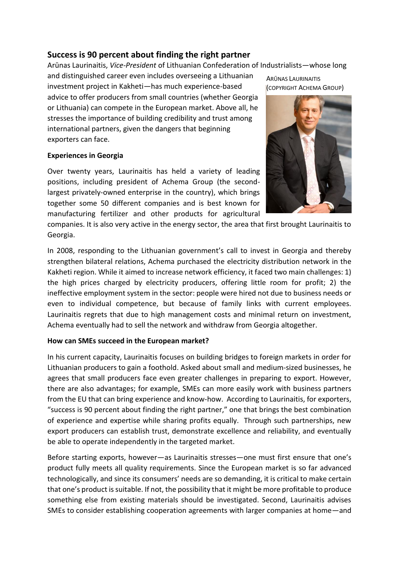# **Success is 90 percent about finding the right partner**

Arūnas Laurinaitis, *Vice-President* of Lithuanian Confederation of Industrialists—whose long

and distinguished career even includes overseeing a Lithuanian investment project in Kakheti—has much experience-based advice to offer producers from small countries (whether Georgia or Lithuania) can compete in the European market. Above all, he stresses the importance of building credibility and trust among international partners, given the dangers that beginning exporters can face.

### **Experiences in Georgia**

Over twenty years, Laurinaitis has held a variety of leading positions, including president of Achema Group (the secondlargest privately-owned enterprise in the country), which brings together some 50 different companies and is best known for manufacturing fertilizer and other products for agricultural

ARŪNAS LAURINAITIS (COPYRIGHT ACHEMA GROUP)



companies. It is also very active in the energy sector, the area that first brought Laurinaitis to Georgia.

In 2008, responding to the Lithuanian government's call to invest in Georgia and thereby strengthen bilateral relations, Achema purchased the electricity distribution network in the Kakheti region. While it aimed to increase network efficiency, it faced two main challenges: 1) the high prices charged by electricity producers, offering little room for profit; 2) the ineffective employment system in the sector: people were hired not due to business needs or even to individual competence, but because of family links with current employees. Laurinaitis regrets that due to high management costs and minimal return on investment, Achema eventually had to sell the network and withdraw from Georgia altogether.

## **How can SMEs succeed in the European market?**

In his current capacity, Laurinaitis focuses on building bridges to foreign markets in order for Lithuanian producers to gain a foothold. Asked about small and medium-sized businesses, he agrees that small producers face even greater challenges in preparing to export. However, there are also advantages; for example, SMEs can more easily work with business partners from the EU that can bring experience and know-how. According to Laurinaitis, for exporters, "success is 90 percent about finding the right partner," one that brings the best combination of experience and expertise while sharing profits equally. Through such partnerships, new export producers can establish trust, demonstrate excellence and reliability, and eventually be able to operate independently in the targeted market.

Before starting exports, however—as Laurinaitis stresses—one must first ensure that one's product fully meets all quality requirements. Since the European market is so far advanced technologically, and since its consumers' needs are so demanding, it is critical to make certain that one's product is suitable. If not, the possibility that it might be more profitable to produce something else from existing materials should be investigated. Second, Laurinaitis advises SMEs to consider establishing cooperation agreements with larger companies at home—and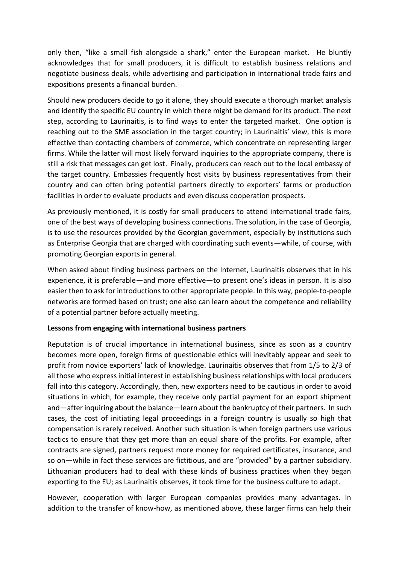only then, "like a small fish alongside a shark," enter the European market. He bluntly acknowledges that for small producers, it is difficult to establish business relations and negotiate business deals, while advertising and participation in international trade fairs and expositions presents a financial burden.

Should new producers decide to go it alone, they should execute a thorough market analysis and identify the specific EU country in which there might be demand for its product. The next step, according to Laurinaitis, is to find ways to enter the targeted market. One option is reaching out to the SME association in the target country; in Laurinaitis' view, this is more effective than contacting chambers of commerce, which concentrate on representing larger firms. While the latter will most likely forward inquiries to the appropriate company, there is still a risk that messages can get lost. Finally, producers can reach out to the local embassy of the target country. Embassies frequently host visits by business representatives from their country and can often bring potential partners directly to exporters' farms or production facilities in order to evaluate products and even discuss cooperation prospects.

As previously mentioned, it is costly for small producers to attend international trade fairs, one of the best ways of developing business connections. The solution, in the case of Georgia, is to use the resources provided by the Georgian government, especially by institutions such as Enterprise Georgia that are charged with coordinating such events—while, of course, with promoting Georgian exports in general.

When asked about finding business partners on the Internet, Laurinaitis observes that in his experience, it is preferable—and more effective—to present one's ideas in person. It is also easier then to ask for introductions to other appropriate people. In this way, people-to-people networks are formed based on trust; one also can learn about the competence and reliability of a potential partner before actually meeting.

### **Lessons from engaging with international business partners**

Reputation is of crucial importance in international business, since as soon as a country becomes more open, foreign firms of questionable ethics will inevitably appear and seek to profit from novice exporters' lack of knowledge. Laurinaitis observes that from 1/5 to 2/3 of all those who express initial interest in establishing business relationships with local producers fall into this category. Accordingly, then, new exporters need to be cautious in order to avoid situations in which, for example, they receive only partial payment for an export shipment and—after inquiring about the balance—learn about the bankruptcy of their partners. In such cases, the cost of initiating legal proceedings in a foreign country is usually so high that compensation is rarely received. Another such situation is when foreign partners use various tactics to ensure that they get more than an equal share of the profits. For example, after contracts are signed, partners request more money for required certificates, insurance, and so on—while in fact these services are fictitious, and are "provided" by a partner subsidiary. Lithuanian producers had to deal with these kinds of business practices when they began exporting to the EU; as Laurinaitis observes, it took time for the business culture to adapt.

However, cooperation with larger European companies provides many advantages. In addition to the transfer of know-how, as mentioned above, these larger firms can help their